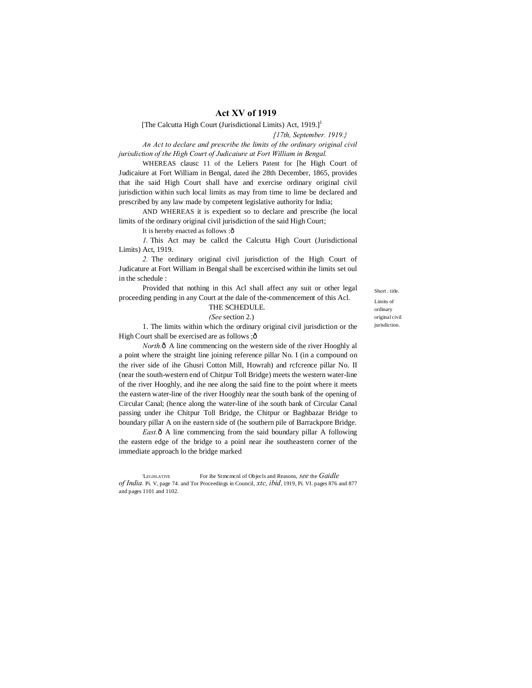## **Act XV of 1919**

[The Calcutta High Court (Jurisdictional Limits) Act, 1919.]<sup>1</sup>

*[17th, September. 1919.}*

*An Act to declare and prescribe the limits of the ordinary original civil jurisdiction of the High Court of Judicaiure at Fort William in Bengal.*

WHEREAS clausc 11 of the Leliers Patent for [he High Court of Judicaiure at Fort William in Bengal, dated ihe 28th December, 1865, provides that ihe said High Court shall have and exercise ordinary original civil jurisdiction within such local limits as may from time to lime be declared and prescribed by any law made by competent legislative authority for India;

AND WHEREAS it is expedient so to declare and prescribe (he local limits of the ordinary original civil jurisdiction of the said High Court;

It is hereby enacted as follows :ô

*1.* This Act may be callcd the Calcutta High Court (Jurisdictional Limits) Act, 1919.

*2.* The ordinary original civil jurisdiction of the High Court of Judicature at Fort William in Bengal shall be excercised within ihe limits set oul in the schedule :

Provided that nothing in this Acl shall affect any suit or other legal proceeding pending in any Court at the dale of the-commencement of this Acl.

# THE SCHEDULE.

*(See* section 2.)

1. The limits within which the ordinary original civil jurisdiction or the High Court shall be exercised are as follows ; ô

*North.* $\delta$  A line commencing on the western side of the river Hooghly all a point where the straight line joining reference pillar No. I (in a compound on the river side of ihe Ghusri Cotton Mill, Howrah) and rcfcrence pillar No. II (near the south-western end of Chitpur Toll Bridge) meets the western water-line of the river Hooghly, and ihe nee along the said fine to the point where it meets the eastern water-line of the river Hooghly near the south bank of the opening of Circular Canal; (hence along the water-line of ihe south bank of Circular Canal passing under ihe Chitpur Toll Bridge, the Chitpur or Baghbazar Bridge to boundary pillar A on ihe eastern side of (he southern pile of Barrackpore Bridge.

East. $\hat{o}$  A line commencing from the said boundary pillar A following the eastern edge of the bridge to a poinl near ihe southeastern corner of the immediate approach lo the bridge marked

'LEGISLATIVE For ihe Stmcmcnl of Objecls and Reasons, *see* the *Gaidle of India.* Pi. V, page 74. and Tor Proceedings in Council, *xtc, ibid*, 1919, Pi. VI. pages 876 and 877 and pages 1101 and 1102.

Short . title. Limits of ordinary original civil jurisdiction.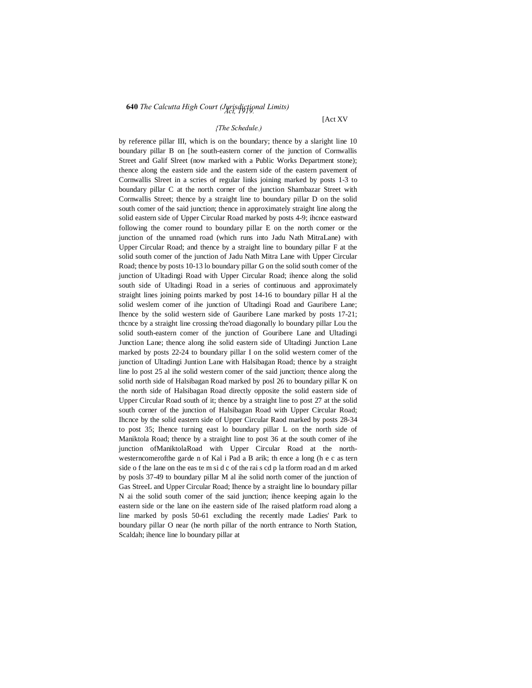# **<sup>640</sup>** *The Calcutta High Court (Jurisdictional Limits) Act, 1919.*

#### *{The Schedule.)*

by reference pillar III, which is on the boundary; thence by a slaright line 10 boundary pillar B on [he south-eastern corner of the junction of Cornwallis Street and Galif Slreet (now marked with a Public Works Department stone); thence along the eastern side and the eastern side of the eastern pavement of Cornwallis Slreet in a scries of regular links joining marked by posts 1-3 to boundary pillar C at the north corner of the junction Shambazar Street with Cornwallis Street; thence by a straight line to boundary pillar D on the solid south comer of the said junction; thence in approximately straight line along the solid eastern side of Upper Circular Road marked by posts 4-9; ihcnce eastward following the comer round to boundary pillar E on the north comer or the junction of the unnamed road (which runs into Jadu Nath MitraLane) with Upper Circular Road; and thence by a straight line to boundary pillar F at the solid south comer of the junction of Jadu Nath Mitra Lane with Upper Circular Road; thence by posts 10-13 lo boundary pillar G on the solid south comer of the junction of Ultadingi Road with Upper Circular Road; ihence along the solid south side of Ultadingi Road in a series of continuous and approximately straight lines joining points marked by post 14-16 to boundary pillar H al the solid weslem comer of ihe junction of Ultadingi Road and Gauribere Lane; Ihence by the solid western side of Gauribere Lane marked by posts 17-21; thcnce by a straight line crossing the'road diagonally lo boundary pillar Lou the solid south-eastern comer of the junction of Gouribere Lane and Ultadingi Junction Lane; thence along ihe solid eastern side of Ultadingi Junction Lane marked by posts 22-24 to boundary pillar I on the solid western comer of the junction of Ultadingi Juntion Lane with Halsibagan Road; thence by a straight line lo post 25 al ihe solid western comer of the said junction; thence along the solid north side of Halsibagan Road marked by posl 26 to boundary pillar K on the north side of Halsibagan Road directly opposite the solid eastern side of Upper Circular Road south of it; thence by a straight line to post 27 at the solid south corner of the junction of Halsibagan Road with Upper Circular Road; Ihcnce by the solid eastern side of Upper Circular Raod marked by posts 28-34 to post 35; Ihence turning east lo boundary pillar L on the north side of Maniktola Road; thence by a straight line to post 36 at the south comer of ihe junction ofManiktolaRoad with Upper Circular Road at the northwesterncomerofthe garde n of Kal i Pad a B arik; th ence a long (h e c as tern side o f the lane on the eas te m si d c of the rai s cd p la tform road an d m arked by posls 37-49 to boundary pillar M al ihe solid north comer of the junction of Gas StreeL and Upper Circular Road; Ihence by a straight line lo boundary pillar N ai the solid south comer of the said junction; ihence keeping again lo the eastern side or the lane on ihe eastern side of Ihe raised platform road along a line marked by posls 50-61 excluding the recently made Ladies' Park to boundary pillar O near (he north pillar of the north entrance to North Station, Scaldah; ihence line lo boundary pillar at

## [Act XV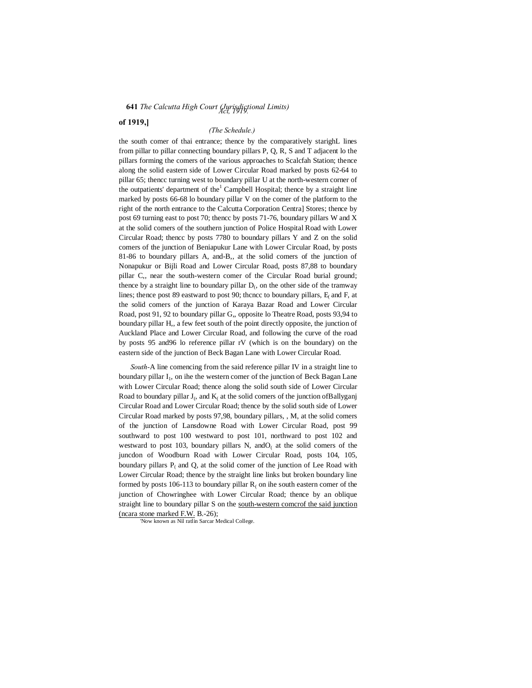## **641** *The Calcutta High Court (Jurisdigtional Limits)*

## **of 1919,]**

## *(The Schedule.)*

the south comer of thai entrance; thence by the comparatively starighL lines from pillar to pillar connecting boundary pillars P, Q, R, S and T adjacent lo the pillars forming the comers of the various approaches to Scalcfah Station; thence along the solid eastern side of Lower Circular Road marked by posts 62-64 to pillar 65; thencc turning west to boundary pillar U at the north-western corner of the outpatients' department of the<sup>1</sup> Campbell Hospital; thence by a straight line marked by posts 66-68 lo boundary pillar V on the comer of the platform to the right of the north entrance to the Calcutta Corporation Centra] Stores; thence by post 69 turning east to post 70; thencc by posts 71-76, boundary pillars W and X at the solid comers of the southern junction of Police Hospital Road with Lower Circular Road; thencc by posts 7780 to boundary pillars Y and Z on the solid comers of the junction of Beniapukur Lane with Lower Circular Road, by posts 81-86 to boundary pillars A, and-B,, at the solid comers of the junction of Nonapukur or Bijli Road and Lower Circular Road, posts 87,88 to boundary pillar C,, near the south-western comer of the Circular Road burial ground; thence by a straight line to boundary pillar  $D<sub>(</sub>)$ , on the other side of the tramway lines; thence post 89 eastward to post 90; thence to boundary pillars,  $E_f$  and  $F$ , at the solid comers of the junction of Karaya Bazar Road and Lower Circular Road, post 91, 92 to boundary pillar G,, opposite lo Theatre Road, posts 93,94 to boundary pillar H,, a few feet south of the point directly opposite, the junction of Auckland Place and Lower Circular Road, and following the curve of the road by posts 95 and96 lo reference pillar rV (which is on the boundary) on the eastern side of the junction of Beck Bagan Lane with Lower Circular Road.

*South-*A line comencing from the said reference pillar IV in a straight line to boundary pillar I<sub>1</sub>, on ihe the western comer of the junction of Beck Bagan Lane with Lower Circular Road; thence along the solid south side of Lower Circular Road to boundary pillar  $J_i$ , and  $K_i$  at the solid comers of the junction of Ballyganj Circular Road and Lower Circular Road; thence by the solid south side of Lower Circular Road marked by posts 97,98, boundary pillars, , M, at the solid comers of the junction of Lansdowne Road with Lower Circular Road, post 99 southward to post 100 westward to post 101, northward to post 102 and westward to post 103, boundary pillars N, and  $O<sub>l</sub>$  at the solid comers of the juncdon of Woodburn Road with Lower Circular Road, posts 104, 105, boundary pillars  $P_i$  and Q, at the solid comer of the junction of Lee Road with Lower Circular Road; thence by the straight line links but broken boundary line formed by posts 106-113 to boundary pillar  $R_0$  on ihe south eastern comer of the junction of Chowringhee with Lower Circular Road; thence by an oblique straight line to boundary pillar S on the south-western comcrof the said junction (ncara stone marked F.W. B.-26);

'Now known as Nil ratlin Sarcar Medical College.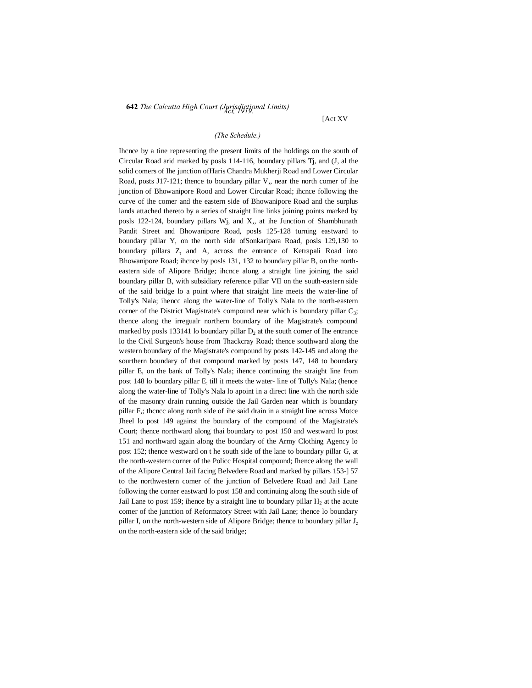# **<sup>642</sup>** *The Calcutta High Court (Jurisdictional Limits) Act, 1919.*

[Act XV

## *(The Schedule.)*

Ihcnce by a tine representing the present limits of the holdings on the south of Circular Road arid marked by posls 114-116, boundary pillars Tj, and (J, al the solid comers of Ihe junction ofHaris Chandra Mukherji Road and Lower Circular Road, posts J17-121; thence to boundary pillar V,, near the north comer of ihe junction of Bhowanipore Rood and Lower Circular Road; ihcnce following the curve of ihe comer and the eastern side of Bhowanipore Road and the surplus lands attached thereto by a series of straight line links joining points marked by posls 122-124, boundary pillars Wj, and X,, at ihe Junction of Shambhunath Pandit Street and Bhowanipore Road, posls 125-128 turning eastward to boundary pillar Y, on the north side ofSonkaripara Road, posls 129,130 to boundary pillars  $Z_t$  and A, across the entrance of Ketrapali Road into Bhowanipore Road; ihcnce by posls 131, 132 to boundary pillar B, on the northeastern side of Alipore Bridge; ihcnce along a straight line joining the said boundary pillar B, with subsidiary reference pillar VII on the south-eastern side of the said bridge lo a point where that straight line meets the water-line of Tolly's Nala; ihencc along the water-line of Tolly's Nala to the north-eastern corner of the District Magistrate's compound near which is boundary pillar  $C_3$ ; thence along the irregualr northern boundary of ihe Magistrate's compound marked by posls 133141 lo boundary pillar  $D_2$  at the south comer of Ihe entrance lo the Civil Surgeon's house from Thackcray Road; thence southward along the western boundary of the Magistrate's compound by posts 142-145 and along the sourthern boundary of that compound marked by posts 147, 148 to boundary pillar E, on the bank of Tolly's Nala; ihence continuing the straight line from post 148 lo boundary pillar E; till it meets the water- line of Tolly's Nala; (hence along the water-line of Tolly's Nala lo apoint in a direct line with the north side of the masonry drain running outside the Jail Garden near which is boundary pillar F,; thcncc along north side of ihe said drain in a straight line across Motce Jheel lo post 149 against the boundary of the compound of the Magistrate's Court; thence northward along thai boundary to post 150 and westward lo post 151 and northward again along the boundary of the Army Clothing Agency lo post 152; thence westward on t he south side of the lane to boundary pillar G, at the north-western corner of the Policc Hospital compound; Ihence along the wall of the Alipore Central Jail facing Belvedere Road and marked by pillars 153-] 57 to the northwestern comer of the junction of Belvedere Road and Jail Lane following the corner eastward lo post 158 and continuing along Ihe south side of Jail Lane to post 159; ihence by a straight line to boundary pillar  $H<sub>2</sub>$  at the acute comer of the junction of Reformatory Street with Jail Lane; thence lo boundary pillar I, on the north-western side of Alipore Bridge; thence to boundary pillar J<sub>z</sub> on the north-eastern side of the said bridge;